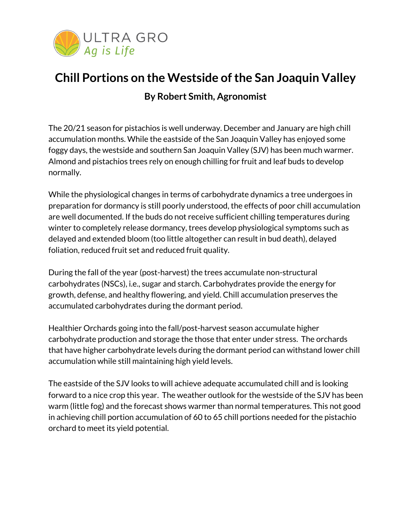

## **Chill Portions on the Westside of the San Joaquin Valley By Robert Smith, Agronomist**

The 20/21 season for pistachios is well underway. December and January are high chill accumulation months. While the eastside of the San Joaquin Valley has enjoyed some foggy days, the westside and southern San Joaquin Valley (SJV) has been much warmer. Almond and pistachios trees rely on enough chilling for fruit and leaf buds to develop normally.

While the physiological changes in terms of carbohydrate dynamics a tree undergoes in preparation for dormancy is still poorly understood, the effects of poor chill accumulation are well documented. If the buds do not receive sufficient chilling temperatures during winter to completely release dormancy, trees develop physiological symptoms such as delayed and extended bloom (too little altogether can result in bud death), delayed foliation, reduced fruit set and reduced fruit quality.

During the fall of the year (post-harvest) the trees accumulate non-structural carbohydrates (NSCs), i.e., sugar and starch. Carbohydrates provide the energy for growth, defense, and healthy flowering, and yield. Chill accumulation preserves the accumulated carbohydrates during the dormant period.

Healthier Orchards going into the fall/post-harvest season accumulate higher carbohydrate production and storage the those that enter under stress. The orchards that have higher carbohydrate levels during the dormant period can withstand lower chill accumulation while still maintaining high yield levels.

The eastside of the SJV looks to will achieve adequate accumulated chill and is looking forward to a nice crop this year. The weather outlook for the westside of the SJV has been warm (little fog) and the forecast shows warmer than normal temperatures. This not good in achieving chill portion accumulation of 60 to 65 chill portions needed for the pistachio orchard to meet its yield potential.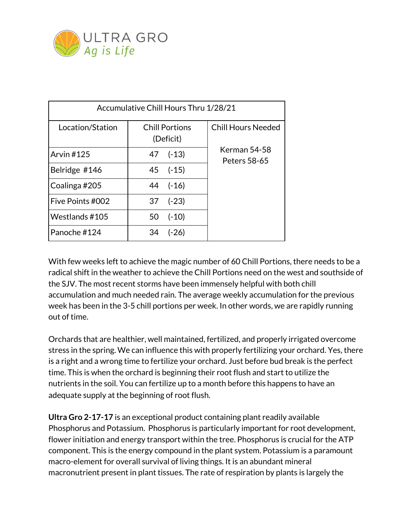

| Accumulative Chill Hours Thru 1/28/21 |                                    |                              |
|---------------------------------------|------------------------------------|------------------------------|
| Location/Station                      | <b>Chill Portions</b><br>(Deficit) | <b>Chill Hours Needed</b>    |
| <b>Arvin #125</b>                     | 47 (-13)                           | Kerman 54-58<br>Peters 58-65 |
| Belridge #146                         | 45 (-15)                           |                              |
| Coalinga#205                          | 44 (-16)                           |                              |
| Five Points #002                      | $37$ $(-23)$                       |                              |
| Westlands #105                        | $(-10)$<br>50                      |                              |
| Panoche #124                          | $(-26)$<br>34                      |                              |

With few weeks left to achieve the magic number of 60 Chill Portions, there needs to be a radical shift in the weather to achieve the Chill Portions need on the west and southside of the SJV. The most recent storms have been immensely helpful with both chill accumulation and much needed rain. The average weekly accumulation for the previous week has been in the 3-5 chill portions per week. In other words, we are rapidly running out of time.

Orchards that are healthier, well maintained, fertilized, and properly irrigated overcome stress in the spring. We can influence this with properly fertilizing your orchard. Yes, there is a right and a wrong time to fertilize your orchard. Just before bud break is the perfect time. This is when the orchard is beginning their root flush and start to utilize the nutrients in the soil. You can fertilize up to a month before this happens to have an adequate supply at the beginning of root flush.

**Ultra Gro 2-17-17** is an exceptional product containing plant readily available Phosphorus and Potassium. Phosphorus is particularly important for root development, flower initiation and energy transport within the tree. Phosphorus is crucial for the ATP component. This is the energy compound in the plant system. Potassium is a paramount macro-element for overall survival of living things. It is an abundant mineral macronutrient present in plant tissues. The rate of respiration by plants is largely the